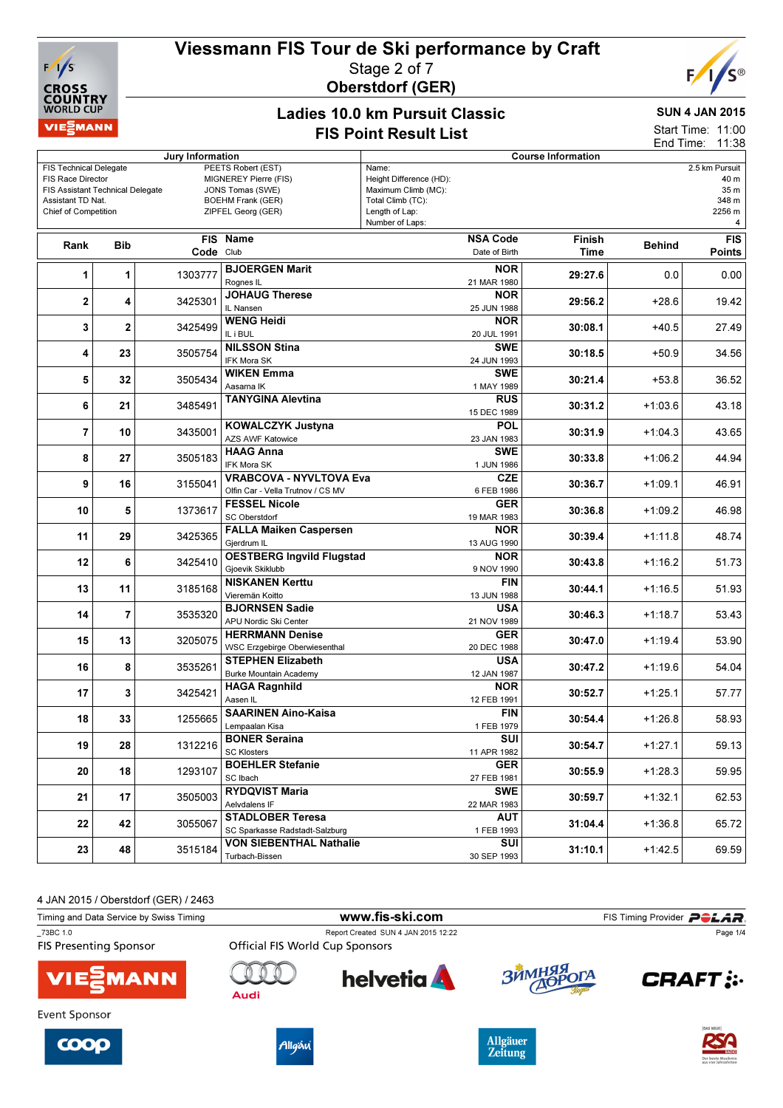# Viessmann FIS Tour de Ski performance by Craft



## Stage 2 of 7 Oberstdorf (GER)



#### Ladies 10.0 km Pursuit Classic FIS Point Result List

## SUN 4 JAN 2015

Start Time: 11:00 End Time: 11:38

| Jury Information                                                                                                                                  |                |         |                                                                                                                   | <b>Course Information</b>                                                                                         |                |               |                                                        |  |
|---------------------------------------------------------------------------------------------------------------------------------------------------|----------------|---------|-------------------------------------------------------------------------------------------------------------------|-------------------------------------------------------------------------------------------------------------------|----------------|---------------|--------------------------------------------------------|--|
| <b>FIS Technical Delegate</b><br>FIS Race Director<br><b>FIS Assistant Technical Delegate</b><br>Assistant TD Nat.<br><b>Chief of Competition</b> |                |         | PEETS Robert (EST)<br>MIGNEREY Pierre (FIS)<br>JONS Tomas (SWE)<br><b>BOEHM Frank (GER)</b><br>ZIPFEL Georg (GER) | Name:<br>Height Difference (HD):<br>Maximum Climb (MC):<br>Total Climb (TC):<br>Length of Lap:<br>Number of Laps: |                |               | 2.5 km Pursuit<br>40 m<br>35 m<br>348 m<br>2256 m<br>4 |  |
| Rank                                                                                                                                              | <b>Bib</b>     |         | FIS Name<br>Code Club                                                                                             | <b>NSA Code</b><br>Date of Birth                                                                                  | Finish<br>Time | <b>Behind</b> | <b>FIS</b><br><b>Points</b>                            |  |
| 1                                                                                                                                                 | 1              | 1303777 | <b>BJOERGEN Marit</b><br>Rognes IL                                                                                | <b>NOR</b><br>21 MAR 1980                                                                                         | 29:27.6        | 0.0           | 0.00                                                   |  |
| 2                                                                                                                                                 | 4              | 3425301 | <b>JOHAUG Therese</b><br>IL Nansen                                                                                | <b>NOR</b><br>25 JUN 1988                                                                                         | 29:56.2        | $+28.6$       | 19.42                                                  |  |
| 3                                                                                                                                                 | $\overline{2}$ | 3425499 | <b>WENG Heidi</b><br>IL i BUL                                                                                     | <b>NOR</b><br>20 JUL 1991                                                                                         | 30:08.1        | $+40.5$       | 27.49                                                  |  |
| 4                                                                                                                                                 | 23             | 3505754 | <b>NILSSON Stina</b><br><b>IFK Mora SK</b>                                                                        | <b>SWE</b><br>24 JUN 1993                                                                                         | 30:18.5        | $+50.9$       | 34.56                                                  |  |
| 5                                                                                                                                                 | 32             | 3505434 | <b>WIKEN Emma</b><br>Aasarna IK                                                                                   | <b>SWE</b><br>1 MAY 1989                                                                                          | 30:21.4        | $+53.8$       | 36.52                                                  |  |
| 6                                                                                                                                                 | 21             | 3485491 | <b>TANYGINA Alevtina</b>                                                                                          | <b>RUS</b><br>15 DEC 1989                                                                                         | 30:31.2        | $+1:03.6$     | 43.18                                                  |  |
| $\overline{\mathbf{r}}$                                                                                                                           | 10             | 3435001 | <b>KOWALCZYK Justyna</b><br>AZS AWF Katowice                                                                      | <b>POL</b><br>23 JAN 1983                                                                                         | 30:31.9        | $+1:04.3$     | 43.65                                                  |  |
| 8                                                                                                                                                 | 27             | 3505183 | <b>HAAG Anna</b><br>IFK Mora SK                                                                                   | <b>SWE</b><br>1 JUN 1986                                                                                          | 30:33.8        | $+1:06.2$     | 44.94                                                  |  |
| 9                                                                                                                                                 | 16             | 3155041 | <b>VRABCOVA - NYVLTOVA Eva</b><br>Olfin Car - Vella Trutnov / CS MV                                               | <b>CZE</b><br>30:36.7<br>6 FEB 1986                                                                               | $+1:09.1$      | 46.91         |                                                        |  |
| 10                                                                                                                                                | 5              | 1373617 | <b>FESSEL Nicole</b><br><b>SC Oberstdorf</b>                                                                      | <b>GER</b><br>19 MAR 1983                                                                                         | 30:36.8        | $+1:09.2$     | 46.98                                                  |  |
| 11                                                                                                                                                | 29             | 3425365 | <b>FALLA Maiken Caspersen</b><br>Gjerdrum IL                                                                      | <b>NOR</b><br>13 AUG 1990                                                                                         | 30:39.4        | $+1:11.8$     | 48.74                                                  |  |
| 12                                                                                                                                                | 6              | 3425410 | <b>OESTBERG Ingvild Flugstad</b><br>Gjoevik Skiklubb                                                              | <b>NOR</b><br>9 NOV 1990                                                                                          | 30:43.8        | $+1:16.2$     | 51.73                                                  |  |
| 13                                                                                                                                                | 11             | 3185168 | <b>NISKANEN Kerttu</b><br>Vieremän Koitto                                                                         | FIN<br>13 JUN 1988                                                                                                | 30:44.1        | $+1:16.5$     | 51.93                                                  |  |
| 14                                                                                                                                                | 7              | 3535320 | <b>BJORNSEN Sadie</b><br>APU Nordic Ski Center                                                                    | <b>USA</b><br>21 NOV 1989                                                                                         | 30:46.3        | $+1:18.7$     | 53.43                                                  |  |
| 15                                                                                                                                                | 13             | 3205075 | <b>HERRMANN Denise</b><br>WSC Erzgebirge Oberwiesenthal                                                           | GER<br>20 DEC 1988                                                                                                | 30:47.0        | $+1:19.4$     | 53.90                                                  |  |
| 16                                                                                                                                                | 8              | 3535261 | <b>STEPHEN Elizabeth</b><br><b>Burke Mountain Academy</b>                                                         | <b>USA</b><br>12 JAN 1987                                                                                         | 30:47.2        | $+1:19.6$     | 54.04                                                  |  |
| 17                                                                                                                                                | 3              | 3425421 | <b>HAGA Ragnhild</b><br>Aasen IL                                                                                  | <b>NOR</b><br>12 FEB 1991                                                                                         | 30:52.7        | $+1:25.1$     | 57.77                                                  |  |
| 18                                                                                                                                                | 33             | 1255665 | <b>SAARINEN Aino-Kaisa</b><br>Lempaalan Kisa                                                                      | FIN<br>1 FEB 1979                                                                                                 | 30:54.4        | $+1:26.8$     | 58.93                                                  |  |
| 19                                                                                                                                                | 28             | 1312216 | <b>BONER Seraina</b><br><b>SC Klosters</b>                                                                        | $\overline{\text{SUI}}$<br>11 APR 1982                                                                            | 30:54.7        | $+1:27.1$     | 59.13                                                  |  |
| 20                                                                                                                                                | 18             | 1293107 | <b>BOEHLER Stefanie</b><br>SC Ibach                                                                               | <b>GER</b><br>27 FEB 1981                                                                                         | 30:55.9        | $+1:28.3$     | 59.95                                                  |  |
| 21                                                                                                                                                | 17             | 3505003 | <b>RYDQVIST Maria</b><br>Aelvdalens IF                                                                            | <b>SWE</b><br>22 MAR 1983                                                                                         | 30:59.7        | +1:32.1       | 62.53                                                  |  |
| 22                                                                                                                                                | 42             | 3055067 | <b>STADLOBER Teresa</b><br>SC Sparkasse Radstadt-Salzburg                                                         | AUT<br>1 FEB 1993                                                                                                 | 31:04.4        | $+1:36.8$     | 65.72                                                  |  |
| 23                                                                                                                                                | 48             | 3515184 | VON SIEBENTHAL Nathalie<br>Turbach-Bissen                                                                         | SUI<br>30 SEP 1993                                                                                                | 31:10.1        | $+1:42.5$     | 69.59                                                  |  |

4 JAN 2015 / Oberstdorf (GER) / 2463

| Timing and Data Service by Swiss Timing   |                                 | www.fis-ski.com                     |            | FIS Timing Provider POLAR. |
|-------------------------------------------|---------------------------------|-------------------------------------|------------|----------------------------|
| 73BC 1.0<br><b>FIS Presenting Sponsor</b> | Official FIS World Cup Sponsors | Report Created SUN 4 JAN 2015 12:22 |            | Page 1/4                   |
| <b>VIE EMANN</b>                          | Audi                            | <b>helvetia</b>                     | ЗЙМНЯЯ ОГА | <b>CRAFT:</b>              |
| Event Sponsor                             |                                 |                                     |            | <b>DAS NEUE  </b>          |







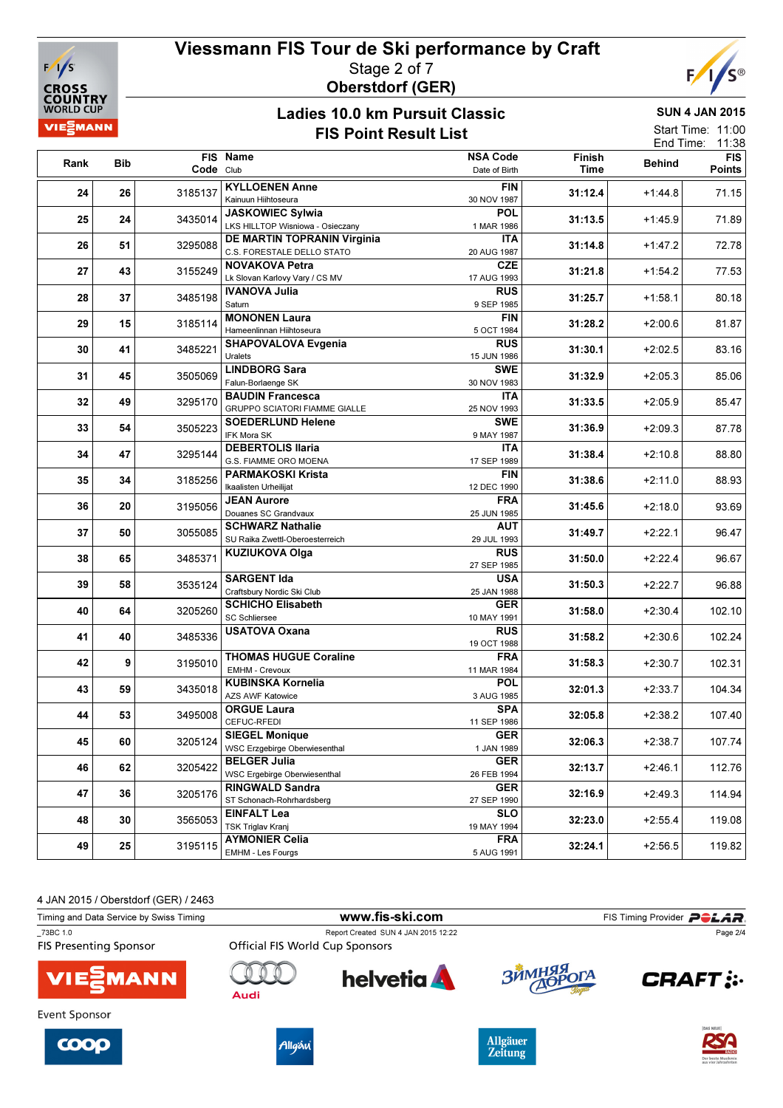

## Viessmann FIS Tour de Ski performance by Craft Stage 2 of 7 Oberstdorf (GER)



### Ladies 10.0 km Pursuit Classic FIS Point Result List

SUN 4 JAN 2015

|                   | $\overline{\phantom{a}}$ |
|-------------------|--------------------------|
| End Time: $11:38$ |                          |
| Start Time: 11:00 |                          |

| Rank | <b>Bib</b> |           | FIS Name                                               | <b>NSA Code</b>           | Finish  | <b>Behind</b> | <b>FIS</b> |
|------|------------|-----------|--------------------------------------------------------|---------------------------|---------|---------------|------------|
|      |            | Code Club |                                                        | Date of Birth             | Time    |               | Points     |
| 24   | 26         | 3185137   | <b>KYLLOENEN Anne</b>                                  | <b>FIN</b>                | 31:12.4 | $+1:44.8$     | 71.15      |
|      |            |           | Kainuun Hiihtoseura                                    | 30 NOV 1987               |         |               |            |
| 25   | 24         | 3435014   | <b>JASKOWIEC Sylwia</b>                                | <b>POL</b>                | 31:13.5 | $+1:45.9$     | 71.89      |
|      |            |           | LKS HILLTOP Wisniowa - Osieczany                       | 1 MAR 1986                |         |               |            |
| 26   | 51         | 3295088   | DE MARTIN TOPRANIN Virginia                            | ITA                       | 31:14.8 | $+1:47.2$     | 72.78      |
|      |            |           | C.S. FORESTALE DELLO STATO                             | 20 AUG 1987               |         |               |            |
| 27   | 43         | 3155249   | <b>NOVAKOVA Petra</b>                                  | <b>CZE</b>                | 31:21.8 | $+1:54.2$     | 77.53      |
|      |            |           | Lk Slovan Karlovy Vary / CS MV<br><b>IVANOVA Julia</b> | 17 AUG 1993<br><b>RUS</b> |         |               |            |
| 28   | 37         | 3485198   | Saturn                                                 | 9 SEP 1985                | 31:25.7 | $+1:58.1$     | 80.18      |
|      |            |           | <b>MONONEN Laura</b>                                   | <b>FIN</b>                |         |               |            |
| 29   | 15         | 3185114   | Hameenlinnan Hiihtoseura                               | 5 OCT 1984                | 31:28.2 | $+2:00.6$     | 81.87      |
|      |            |           | <b>SHAPOVALOVA Evgenia</b>                             | <b>RUS</b>                |         |               |            |
| 30   | 41         | 3485221   | Uralets                                                | 15 JUN 1986               | 31:30.1 | $+2:02.5$     | 83.16      |
| 31   | 45         | 3505069   | <b>LINDBORG Sara</b>                                   | <b>SWE</b>                | 31:32.9 | $+2:05.3$     | 85.06      |
|      |            |           | Falun-Borlaenge SK                                     | 30 NOV 1983               |         |               |            |
| 32   | 49         | 3295170   | <b>BAUDIN Francesca</b>                                | ITA                       | 31:33.5 | $+2:05.9$     | 85.47      |
|      |            |           | <b>GRUPPO SCIATORI FIAMME GIALLE</b>                   | 25 NOV 1993               |         |               |            |
| 33   | 54         | 3505223   | <b>SOEDERLUND Helene</b>                               | <b>SWE</b>                | 31:36.9 | $+2:09.3$     | 87.78      |
|      |            |           | IFK Mora SK<br><b>DEBERTOLIS Ilaria</b>                | 9 MAY 1987                |         |               |            |
| 34   | 47         | 3295144   | G.S. FIAMME ORO MOENA                                  | ITA<br>17 SEP 1989        | 31:38.4 | $+2:10.8$     | 88.80      |
|      | 35<br>34   | 3185256   | <b>PARMAKOSKI Krista</b>                               | FIN                       |         |               |            |
|      |            |           | Ikaalisten Urheilijat                                  | 12 DEC 1990               | 31:38.6 | $+2:11.0$     | 88.93      |
|      |            |           | <b>JEAN Aurore</b>                                     | <b>FRA</b>                |         |               |            |
| 36   | 20         | 3195056   | Douanes SC Grandvaux                                   | 25 JUN 1985               | 31:45.6 | $+2:18.0$     | 93.69      |
| 37   | 50         | 3055085   | <b>SCHWARZ Nathalie</b>                                | <b>AUT</b>                | 31:49.7 | $+2:22.1$     | 96.47      |
|      |            |           | SU Raika Zwettl-Oberoesterreich                        | 29 JUL 1993               |         |               |            |
| 38   | 65         | 3485371   | <b>KUZIUKOVA Olga</b>                                  | <b>RUS</b>                | 31:50.0 | $+2:22.4$     | 96.67      |
|      |            |           |                                                        | 27 SEP 1985               |         |               |            |
| 39   | 58         | 3535124   | <b>SARGENT Ida</b>                                     | USA                       | 31:50.3 | $+2:22.7$     | 96.88      |
|      |            |           | Craftsbury Nordic Ski Club<br><b>SCHICHO Elisabeth</b> | 25 JAN 1988<br><b>GER</b> |         |               |            |
| 40   | 64         | 3205260   | <b>SC Schliersee</b>                                   | 10 MAY 1991               | 31:58.0 | $+2:30.4$     | 102.10     |
|      |            |           | <b>USATOVA Oxana</b>                                   | <b>RUS</b>                |         |               |            |
| 41   | 40         | 3485336   |                                                        | 19 OCT 1988               | 31:58.2 | $+2:30.6$     | 102.24     |
| 42   | 9          |           | <b>THOMAS HUGUE Coraline</b>                           | <b>FRA</b>                |         |               |            |
|      |            | 3195010   | EMHM - Crevoux                                         | 11 MAR 1984               | 31:58.3 | $+2:30.7$     | 102.31     |
| 43   | 59         | 3435018   | <b>KUBINSKA Kornelia</b>                               | <b>POL</b>                | 32:01.3 | $+2:33.7$     | 104.34     |
|      |            |           | <b>AZS AWF Katowice</b>                                | 3 AUG 1985                |         |               |            |
| 44   | 53         | 3495008   | <b>ORGUE Laura</b>                                     | <b>SPA</b>                | 32:05.8 | $+2:38.2$     | 107.40     |
|      |            |           | CEFUC-RFEDI                                            | 11 SEP 1986               |         |               |            |
| 45   | 60         | 3205124   | <b>SIEGEL Monique</b>                                  | <b>GER</b>                | 32:06.3 | $+2:38.7$     | 107.74     |
|      |            |           | WSC Erzgebirge Oberwiesenthal<br><b>BELGER Julia</b>   | 1 JAN 1989<br><b>GER</b>  |         |               |            |
| 46   | 62         | 3205422   | <b>WSC Ergebirge Oberwiesenthal</b>                    | 26 FEB 1994               | 32:13.7 | $+2:46.1$     | 112.76     |
|      |            |           | <b>RINGWALD Sandra</b>                                 | <b>GER</b>                |         |               |            |
| 47   | 36         | 3205176   | ST Schonach-Rohrhardsberg                              | 27 SEP 1990               | 32:16.9 | $+2:49.3$     | 114.94     |
|      |            |           | <b>EINFALT Lea</b>                                     | <b>SLO</b>                |         |               |            |
| 48   | 30         | 3565053   | <b>TSK Triglav Kranj</b>                               | 19 MAY 1994               | 32:23.0 | $+2:55.4$     | 119.08     |
| 49   | 25         | 3195115   | <b>AYMONIER Celia</b>                                  | <b>FRA</b>                | 32:24.1 | $+2:56.5$     | 119.82     |
|      |            |           | EMHM - Les Fourgs                                      | 5 AUG 1991                |         |               |            |

4 JAN 2015 / Oberstdorf (GER) / 2463

|      | www.fis-ski.com                     |                                        | FIS Timing Provider <b>POLAR</b> . |
|------|-------------------------------------|----------------------------------------|------------------------------------|
|      | Report Created SUN 4 JAN 2015 12:22 |                                        | Page 2/4                           |
| Audi | <b>helvetia</b>                     | ЗЙМНЯЯ ОГА                             | <b>CRAFT:</b>                      |
|      |                                     |                                        | <b>DAS NEUE</b>                    |
|      |                                     | <b>Official FIS World Cup Sponsors</b> |                                    |







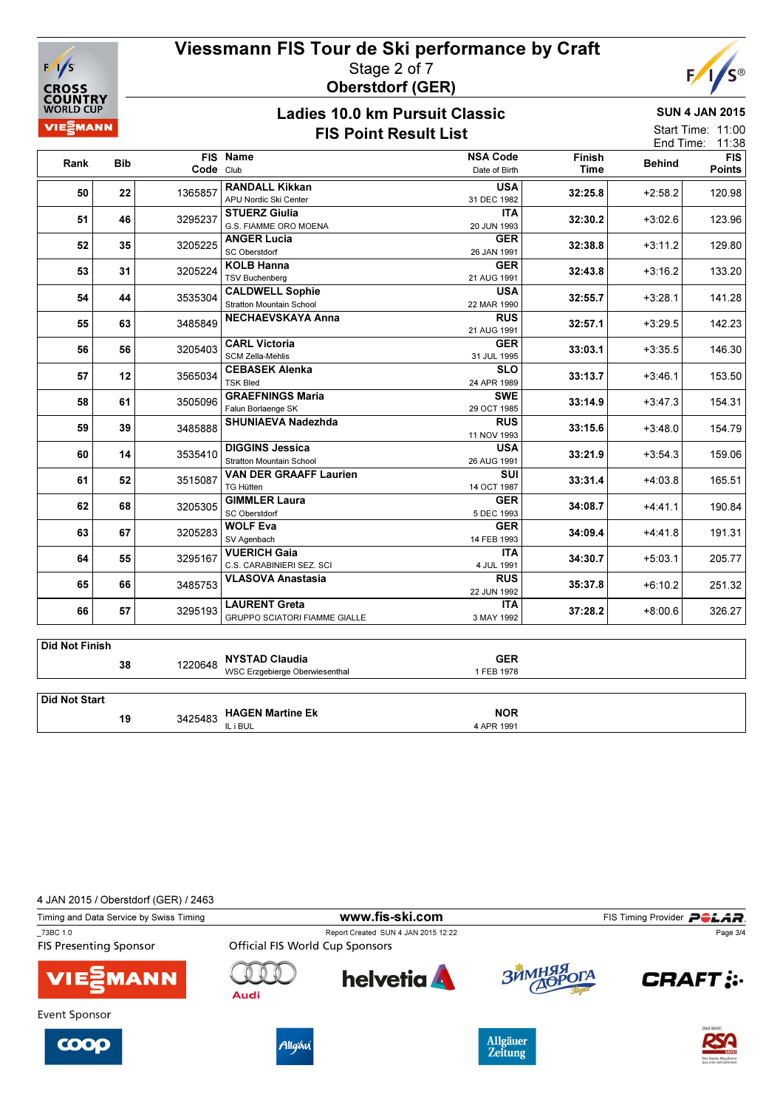

## Viessmann FIS Tour de Ski performance by Craft Stage 2 of 7 Oberstdorf (GER)



### Ladies 10.0 km Pursuit Classic FIS Point Result List

SUN 4 JAN 2015

| Start Time: 11:00 |       |
|-------------------|-------|
| End Time:         | 11:38 |

| Rank | <b>Bib</b> | Code Club     | FIS Name                        | <b>NSA Code</b><br>Date of Birth | Finish<br>Time | <b>Behind</b> | <b>FIS</b><br><b>Points</b> |
|------|------------|---------------|---------------------------------|----------------------------------|----------------|---------------|-----------------------------|
| 50   | 22         | 1365857       | <b>RANDALL Kikkan</b>           | <b>USA</b>                       | 32:25.8        | $+2:58.2$     | 120.98                      |
|      |            |               | APU Nordic Ski Center           | 31 DEC 1982                      |                |               |                             |
| 51   | 46         | 3295237       | <b>STUERZ Giulia</b>            | <b>ITA</b>                       | 32:30.2        | $+3:02.6$     | 123.96                      |
|      |            |               | G.S. FIAMME ORO MOENA           | 20 JUN 1993                      |                |               |                             |
| 52   | 35         | 3205225       | <b>ANGER Lucia</b>              | <b>GER</b>                       | 32:38.8        | $+3:11.2$     | 129.80                      |
|      |            |               | SC Oberstdorf                   | 26 JAN 1991                      |                |               |                             |
| 53   | 31         | 3205224       | <b>KOLB Hanna</b>               | <b>GER</b>                       | 32:43.8        | $+3:16.2$     | 133.20                      |
|      |            |               | <b>TSV Buchenberg</b>           | 21 AUG 1991                      |                |               |                             |
| 54   | 44         | 3535304       | <b>CALDWELL Sophie</b>          | <b>USA</b>                       | 32:55.7        | $+3:28.1$     | 141.28                      |
|      |            |               | <b>Stratton Mountain School</b> | 22 MAR 1990                      |                |               |                             |
| 55   | 63         | 3485849       | <b>NECHAEVSKAYA Anna</b>        | <b>RUS</b>                       | 32:57.1        | $+3:29.5$     | 142.23                      |
|      |            |               |                                 | 21 AUG 1991                      |                |               |                             |
| 56   | 56         | 3205403       | <b>CARL Victoria</b>            | <b>GER</b>                       | 33:03.1        | $+3:35.5$     | 146.30                      |
|      |            |               | <b>SCM Zella-Mehlis</b>         | 31 JUL 1995                      |                |               |                             |
| 57   | 12         | 3565034       | <b>CEBASEK Alenka</b>           | <b>SLO</b>                       | 33:13.7        | $+3:46.1$     | 153.50                      |
|      |            |               | <b>TSK Bled</b>                 | 24 APR 1989                      |                |               |                             |
| 58   |            | 61<br>3505096 | <b>GRAEFNINGS Maria</b>         | <b>SWE</b>                       | 33:14.9        | $+3:47.3$     | 154.31                      |
|      |            |               | Falun Borlaenge SK              | 29 OCT 1985                      |                |               |                             |
| 59   | 39         | 3485888       | <b>SHUNIAEVA Nadezhda</b>       | <b>RUS</b>                       | 33:15.6        | $+3:48.0$     | 154.79                      |
|      |            |               |                                 | 11 NOV 1993                      |                |               |                             |
| 60   | 14         | 3535410       | <b>DIGGINS Jessica</b>          | <b>USA</b>                       | 33:21.9        | $+3:54.3$     | 159.06                      |
|      |            |               | <b>Stratton Mountain School</b> | 26 AUG 1991                      |                |               |                             |
| 61   | 52         |               | <b>VAN DER GRAAFF Laurien</b>   | SUI                              |                |               |                             |
|      |            | 3515087       | <b>TG Hütten</b>                | 14 OCT 1987                      | 33:31.4        | $+4:03.8$     | 165.51                      |
|      | 68         |               | <b>GIMMLER Laura</b>            | <b>GER</b>                       |                |               |                             |
| 62   |            | 3205305       | <b>SC Oberstdorf</b>            | 5 DEC 1993                       | 34:08.7        | $+4:41.1$     | 190.84                      |
|      |            |               | <b>WOLF Eva</b>                 | <b>GER</b>                       |                |               |                             |
| 63   | 67         | 3205283       | SV Agenbach                     | 14 FEB 1993                      | 34:09.4        | $+4:41.8$     | 191.31                      |
|      |            |               | <b>VUERICH Gaia</b>             | <b>ITA</b>                       |                |               |                             |
| 64   | 55         | 3295167       | C.S. CARABINIERI SEZ. SCI       | 4 JUL 1991                       | 34:30.7        | $+5:03.1$     | 205.77                      |
|      |            |               | <b>VLASOVA Anastasia</b>        | <b>RUS</b>                       |                |               |                             |
| 65   | 66         | 3485753       |                                 | 22 JUN 1992                      | 35:37.8        | $+6:10.2$     | 251.32                      |
|      |            |               | <b>LAURENT Greta</b>            | <b>ITA</b>                       |                |               |                             |
| 66   | 57         | 3295193       | GRUPPO SCIATORI FIAMME GIALLE   | 3 MAY 1992                       | 37:28.2        | $+8:00.6$     | 326.27                      |

|               | 38 | 1220648 | NYSTAD Claudia<br>WSC Erzgebierge Oberwiesenthal | GER<br>1 FEB 1978        |
|---------------|----|---------|--------------------------------------------------|--------------------------|
| Did Not Start |    |         |                                                  |                          |
|               | 19 |         | 3425483 HAGEN Martine Ek                         | <b>NOR</b><br>4 APR 1991 |

| 4 JAN 2015 / Oberstdorf (GER) / 2463      |                                        |                                     |            |                                  |
|-------------------------------------------|----------------------------------------|-------------------------------------|------------|----------------------------------|
| Timing and Data Service by Swiss Timing   |                                        | www.fis-ski.com                     |            | FIS Timing Provider <b>POLAR</b> |
| 73BC 1.0<br><b>FIS Presenting Sponsor</b> | <b>Official FIS World Cup Sponsors</b> | Report Created SUN 4 JAN 2015 12:22 |            | Page 3/4                         |
| <b>VIE EMANN</b>                          | Audi                                   | <b>helvetia</b>                     | ЗЙМНЯЯ ОГА | <b>CRAFT: :-</b>                 |
| Event Sponsor                             |                                        |                                     |            |                                  |